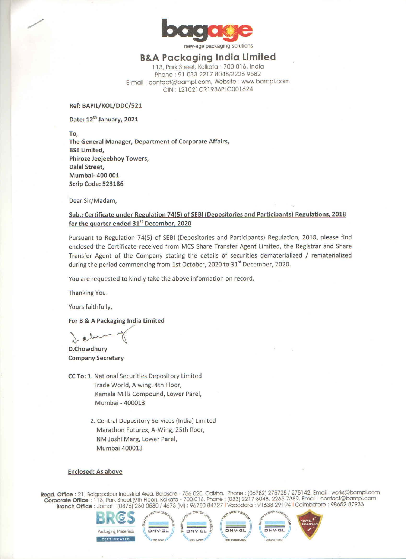

## **B&A Packaging India Limited**

113, Park Street, Kolkata: 700 016, India Phone : 91 033 2217 8048/2226 9582 E-mail : contact@bampl.com. Website : www.bampl.com CIN : L2102l0Rl 986PLC001624

**Ref: BAPIL/KOL/DDC/521** 

**Date: 12th January, 2021** 

**To, The General M anager, Department of Corporate Affairs,**  BSE Limited, **Phiroze Jeejeebhoy Towers, Dalal Street, Mumbai- 400 001 Scrip Code: 523186** 

Dear Sir/Madam,

## **Sub.: Certificate under Regulation 74(5) of SEBI (Depositories and Participants) Regulations, 2018 for the quarter ended 31st December, 2020**

Pursuant to Regulation 74(5) of SEBI (Depositories and Participants) Regulation, 2018, please find enclosed the Certificate received from MCS Share Transfer Agent Limited, the Registrar and Share Transfer Agent of the Company stating the details of securities dematerialized / rematerialized during the period commencing from 1st October, 2020 to 31<sup>st</sup> December, 2020.

You are requested to kindly take the above information on record.

Thanking You.

Yours faithfully,

For B & A Packaging India Limited

Thanking You.<br>
Yours faithfully,<br>
For B & A Packaging India Limite<br>
2. Chowdhury

**D.Chowdhury Company Secretary** 

- **CC To:** 1. National Securities Depository Limited Trade World, A wing, 4th Floor, Kamala Mills Compound, Lower Parel, Mumbai - 400013
	- 2. Central Depository Services (India) Limited Marathon Futurex, A-Wing, 25th floor, **NM** Joshi Marg, Lower Pare!, Mumbai 400013

## **Enclosed: As above**

**Regd. Office :** 21, Balgopalpur Industrial Area, Balasore - 756 020. Odisha, Phone : (06782) 275725 / 275142, Email: works@bampl.com **Corporate Office :** 113, Park Street,(9th Floor). Kolkata - 700 016, Phone: (033) 2217 8048, 2265 7389, Email: contact@bampl.com **Branch Office:** Jorhat: (0376) 2300580 / 4673 (Ml : 96780 84727 IVadodara: 91638 29194 1 Coimbatore : 98652 87933